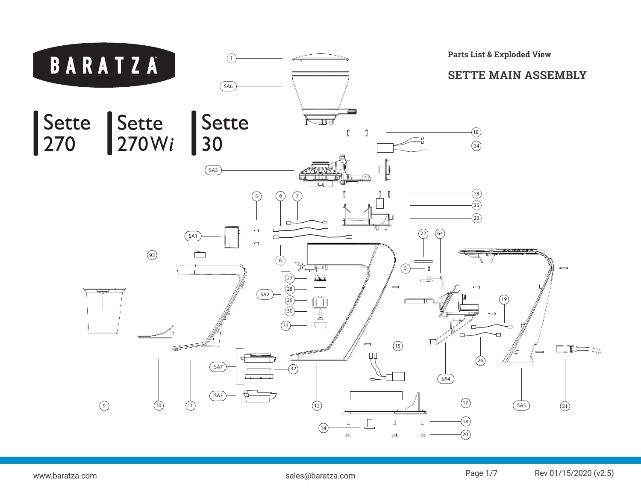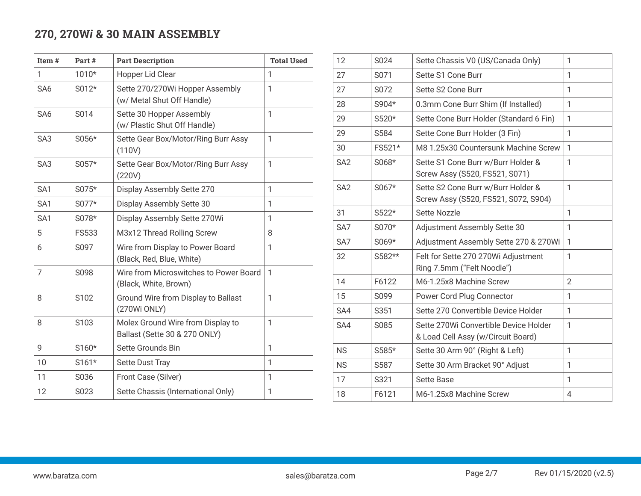## **270, 270W***i* **& 30 MAIN ASSEMBLY**

| Item#           | Part#        | <b>Part Description</b>                                            | <b>Total Used</b> |
|-----------------|--------------|--------------------------------------------------------------------|-------------------|
| 1               | 1010*        | Hopper Lid Clear                                                   | 1                 |
| SA <sub>6</sub> | S012*        | Sette 270/270Wi Hopper Assembly<br>(w/ Metal Shut Off Handle)      | 1                 |
| SA <sub>6</sub> | S014         | Sette 30 Hopper Assembly<br>(w/ Plastic Shut Off Handle)           | $\mathbf{1}$      |
| SA <sub>3</sub> | S056*        | Sette Gear Box/Motor/Ring Burr Assy<br>(110V)                      | 1                 |
| SA <sub>3</sub> | S057*        | Sette Gear Box/Motor/Ring Burr Assy<br>(220V)                      | $\mathbf{1}$      |
| SA1             | S075*        | Display Assembly Sette 270                                         | $\mathbf{1}$      |
| SA <sub>1</sub> | S077*        | Display Assembly Sette 30                                          | 1                 |
| SA1             | S078*        | Display Assembly Sette 270Wi                                       | 1                 |
| 5               | <b>FS533</b> | M3x12 Thread Rolling Screw                                         | 8                 |
| 6               | S097         | Wire from Display to Power Board<br>(Black, Red, Blue, White)      | 1                 |
| $\overline{7}$  | S098         | Wire from Microswitches to Power Board<br>(Black, White, Brown)    | 1                 |
| 8               | S102         | Ground Wire from Display to Ballast<br>(270Wi ONLY)                | 1                 |
| 8               | S103         | Molex Ground Wire from Display to<br>Ballast (Sette 30 & 270 ONLY) | $\mathbf{1}$      |
| 9               | S160*        | Sette Grounds Bin                                                  | 1                 |
| 10              | S161*        | <b>Sette Dust Tray</b>                                             | 1                 |
| 11              | S036         | Front Case (Silver)                                                | 1                 |
| 12              | S023         | Sette Chassis (International Only)                                 | 1                 |

| 12              | S024    | Sette Chassis V0 (US/Canada Only)                                           | 1              |
|-----------------|---------|-----------------------------------------------------------------------------|----------------|
| 27              | S071    | Sette S1 Cone Burr                                                          | 1              |
| 27              | S072    | Sette S2 Cone Burr                                                          | 1              |
| 28              | S904*   | 0.3mm Cone Burr Shim (If Installed)                                         | 1              |
| 29              | S520*   | Sette Cone Burr Holder (Standard 6 Fin)                                     | 1              |
| 29              | S584    | Sette Cone Burr Holder (3 Fin)                                              | 1              |
| 30              | FS521*  | M8 1.25x30 Countersunk Machine Screw                                        | 1              |
| SA <sub>2</sub> | S068*   | Sette S1 Cone Burr w/Burr Holder &<br>Screw Assy (S520, FS521, S071)        | 1              |
| SA <sub>2</sub> | S067*   | Sette S2 Cone Burr w/Burr Holder &<br>Screw Assy (S520, FS521, S072, S904)  | 1              |
| 31              | $S522*$ | Sette Nozzle                                                                | 1              |
| SA7             | S070*   | Adjustment Assembly Sette 30                                                | 1              |
| SA7             | S069*   | Adjustment Assembly Sette 270 & 270Wi                                       | 1              |
| 32              | S582**  | Felt for Sette 270 270Wi Adjustment<br>Ring 7.5mm ("Felt Noodle")           | 1              |
| 14              | F6122   | M6-1.25x8 Machine Screw                                                     | $\overline{2}$ |
| 15              | S099    | Power Cord Plug Connector                                                   | 1              |
| SA4             | S351    | Sette 270 Convertible Device Holder                                         | 1              |
| SA4             | S085    | Sette 270Wi Convertible Device Holder<br>& Load Cell Assy (w/Circuit Board) | 1              |
| <b>NS</b>       | S585*   | Sette 30 Arm 90° (Right & Left)                                             | 1              |
| <b>NS</b>       | S587    | Sette 30 Arm Bracket 90° Adjust                                             | 1              |
| 17              | S321    | <b>Sette Base</b>                                                           | 1              |
| 18              | F6121   | M6-1.25x8 Machine Screw                                                     | 4              |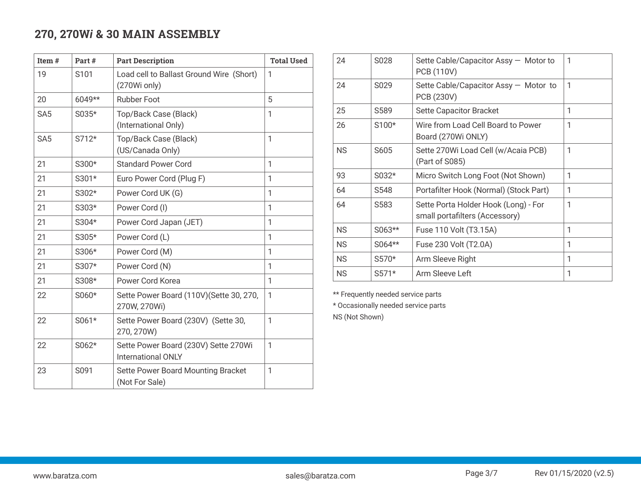## **270, 270W***i* **& 30 MAIN ASSEMBLY**

| Item#           | Part#  | <b>Part Description</b>                                           | <b>Total Used</b> |                | 24        | S028                                | Sette Cable/Capacitor Assy - Motor to                                  |
|-----------------|--------|-------------------------------------------------------------------|-------------------|----------------|-----------|-------------------------------------|------------------------------------------------------------------------|
| 19              | S101   | Load cell to Ballast Ground Wire (Short)<br>(270Wi only)          |                   |                | 24        | S029                                | <b>PCB (110V)</b><br>Sette Cable/Capacitor Assy - Motor to             |
| 20              | 6049** | <b>Rubber Foot</b>                                                | 5                 |                |           |                                     | PCB (230V)                                                             |
| SA <sub>5</sub> | S035*  | Top/Back Case (Black)                                             | 1                 |                | 25        | S589                                | <b>Sette Capacitor Bracket</b>                                         |
|                 |        | (International Only)                                              |                   |                | 26        | S100*                               | Wire from Load Cell Board to Power                                     |
| SA <sub>5</sub> | S712*  | Top/Back Case (Black)                                             |                   |                |           |                                     | Board (270Wi ONLY)                                                     |
|                 |        | (US/Canada Only)                                                  |                   |                | <b>NS</b> | S605                                | Sette 270Wi Load Cell (w/Acaia PCB)                                    |
| 21              | S300*  | <b>Standard Power Cord</b>                                        |                   |                |           |                                     | (Part of S085)                                                         |
| 21              | S301*  | Euro Power Cord (Plug F)                                          | 1                 |                | 93        | S032*                               | Micro Switch Long Foot (Not Shown)                                     |
| 21              | S302*  | Power Cord UK (G)                                                 |                   |                | 64        | S548                                | Portafilter Hook (Normal) (Stock Part)                                 |
| 21              | S303*  | Power Cord (I)                                                    |                   |                | 64        | S583                                | Sette Porta Holder Hook (Long) - For<br>small portafilters (Accessory) |
| 21              | S304*  | Power Cord Japan (JET)                                            |                   |                |           |                                     |                                                                        |
| 21              | S305*  | Power Cord (L)                                                    |                   |                | <b>NS</b> | S063**                              | Fuse 110 Volt (T3.15A)                                                 |
| 21              | S306*  | Power Cord (M)                                                    |                   |                | <b>NS</b> | S064**                              | Fuse 230 Volt (T2.0A)                                                  |
| 21              | S307*  | Power Cord (N)                                                    |                   |                | <b>NS</b> | S570*                               | Arm Sleeve Right                                                       |
| 21              | S308*  | Power Cord Korea                                                  | 1                 |                | <b>NS</b> | S571*                               | Arm Sleeve Left                                                        |
|                 |        |                                                                   |                   |                |           | ** Frequently needed service parts  |                                                                        |
| 22              | S060*  | Sette Power Board (110V)(Sette 30, 270,<br>270W, 270Wi)           |                   |                |           | * Occasionally needed service parts |                                                                        |
| 22              | S061*  | Sette Power Board (230V) (Sette 30,<br>270, 270W)                 | $\mathbf{1}$      | NS (Not Shown) |           |                                     |                                                                        |
| 22              | S062*  | Sette Power Board (230V) Sette 270Wi<br><b>International ONLY</b> | $\mathbf{1}$      |                |           |                                     |                                                                        |
| 23              | S091   | Sette Power Board Mounting Bracket<br>(Not For Sale)              | 1                 |                |           |                                     |                                                                        |

| 24        | S <sub>0</sub> 28 | Sette Cable/Capacitor Assy - Motor to<br><b>PCB (110V)</b>             | 1 |
|-----------|-------------------|------------------------------------------------------------------------|---|
| 24        | S <sub>0</sub> 29 | Sette Cable/Capacitor Assy - Motor to<br>PCB (230V)                    | 1 |
| 25        | S <sub>589</sub>  | Sette Capacitor Bracket                                                | 1 |
| 26        | S100*             | Wire from Load Cell Board to Power<br>Board (270Wi ONLY)               | 1 |
| <b>NS</b> | S605              | Sette 270Wi Load Cell (w/Acaia PCB)<br>(Part of S085)                  | 1 |
| 93        | $S032*$           | Micro Switch Long Foot (Not Shown)                                     | 1 |
| 64        | S <sub>548</sub>  | Portafilter Hook (Normal) (Stock Part)                                 | 1 |
| 64        | S <sub>583</sub>  | Sette Porta Holder Hook (Long) - For<br>small portafilters (Accessory) | 1 |
| <b>NS</b> | $S063**$          | Fuse 110 Volt (T3.15A)                                                 | 1 |
| <b>NS</b> | S064**            | Fuse 230 Volt (T2.0A)                                                  | 1 |
| <b>NS</b> | S570*             | Arm Sleeve Right                                                       | 1 |
| <b>NS</b> | S571*             | Arm Sleeve Left                                                        | 1 |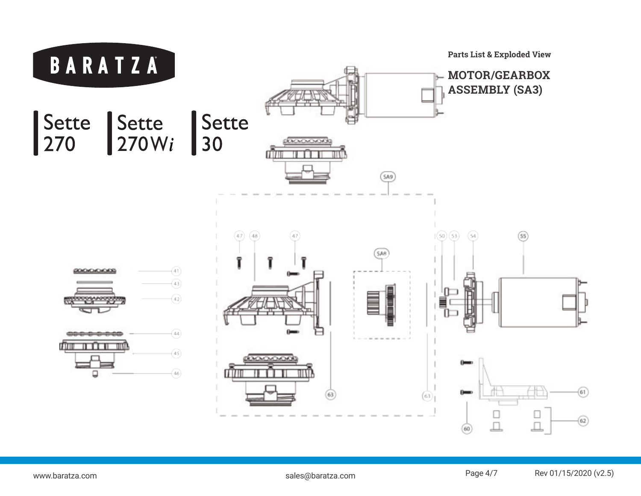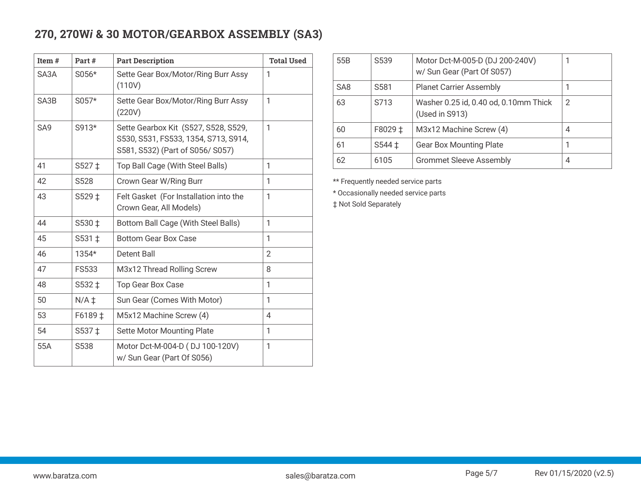## **270, 270W***i* **& 30 MOTOR/GEARBOX ASSEMBLY (SA3)**

| Item#           | Part#            | <b>Part Description</b>                                                                                          | <b>Total Used</b> |
|-----------------|------------------|------------------------------------------------------------------------------------------------------------------|-------------------|
| SA3A            | $S056*$          | Sette Gear Box/Motor/Ring Burr Assy<br>(110V)                                                                    | 1                 |
| SA3B            | $S057*$          | Sette Gear Box/Motor/Ring Burr Assy<br>(220V)                                                                    | 1                 |
| SA <sub>9</sub> | S913*            | Sette Gearbox Kit (S527, S528, S529,<br>S530, S531, FS533, 1354, S713, S914,<br>S581, S532) (Part of S056/ S057) | 1                 |
| 41              | $S527 \pm$       | Top Ball Cage (With Steel Balls)                                                                                 | 1                 |
| 42              | S <sub>528</sub> | Crown Gear W/Ring Burr                                                                                           | 1                 |
| 43              | S529 ±           | Felt Gasket (For Installation into the<br>Crown Gear, All Models)                                                | 1                 |
| 44              | S530 ‡           | Bottom Ball Cage (With Steel Balls)                                                                              | 1                 |
| 45              | S531 ‡           | <b>Bottom Gear Box Case</b>                                                                                      | 1                 |
| 46              | 1354*            | Detent Ball                                                                                                      | $\overline{2}$    |
| 47              | <b>FS533</b>     | M3x12 Thread Rolling Screw                                                                                       | 8                 |
| 48              | S532 ‡           | <b>Top Gear Box Case</b>                                                                                         | 1                 |
| 50              | $N/A \ddagger$   | Sun Gear (Comes With Motor)                                                                                      | 1                 |
| 53              | F6189 ‡          | M5x12 Machine Screw (4)                                                                                          | 4                 |
| 54              | S537 ‡           | <b>Sette Motor Mounting Plate</b>                                                                                | 1                 |
| 55A             | S538             | Motor Dct-M-004-D (DJ 100-120V)<br>w/ Sun Gear (Part Of S056)                                                    | 1                 |

| 55B             | S <sub>539</sub>  | Motor Dct-M-005-D (DJ 200-240V)<br>w/ Sun Gear (Part Of S057) |   |
|-----------------|-------------------|---------------------------------------------------------------|---|
| SA <sub>8</sub> | S <sub>581</sub>  | <b>Planet Carrier Assembly</b>                                |   |
| 63              | S713              | Washer 0.25 id, 0.40 od, 0.10mm Thick<br>(Used in S913)       | 2 |
| 60              | F8029 ‡           | M3x12 Machine Screw (4)                                       | 4 |
| 61              | $S544 \downarrow$ | <b>Gear Box Mounting Plate</b>                                |   |
| 62              | 6105              | <b>Grommet Sleeve Assembly</b>                                |   |

\*\* Frequently needed service parts

\* Occasionally needed service parts

‡ Not Sold Separately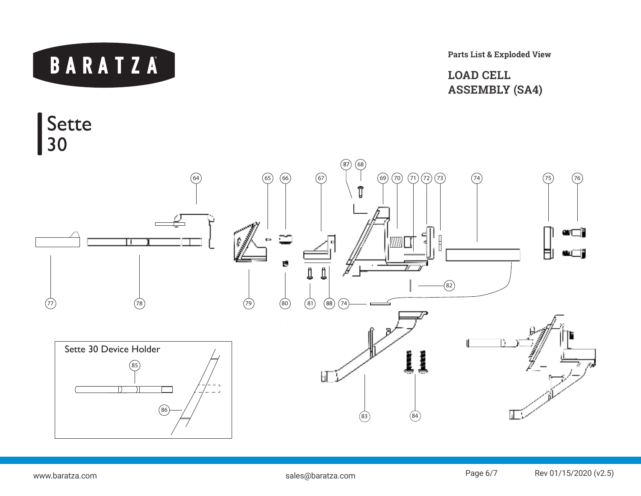